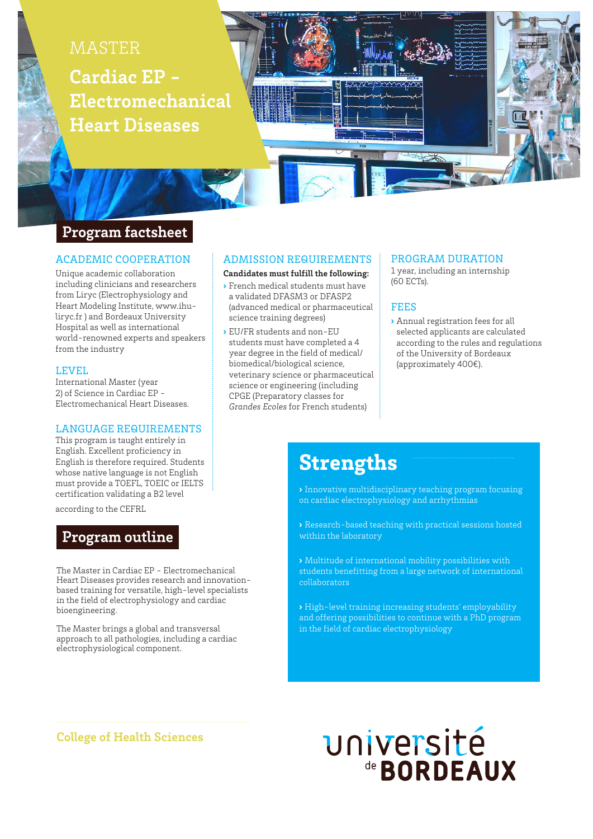

# **Program factsheet**

#### ACADEMIC COOPERATION

Unique academic collaboration including clinicians and researchers from Liryc (Electrophysiology and Heart Modeling Institute, www.ihuliryc.fr ) and Bordeaux University Hospital as well as international world-renowned experts and speakers from the industry

#### LEVEL

International Master (year 2) of Science in Cardiac EP - Electromechanical Heart Diseases.

#### LANGUAGE REQUIREMENTS

This program is taught entirely in English. Excellent proficiency in English is therefore required. Students whose native language is not English must provide a TOEFL, TOEIC or IELTS certification validating a B2 level

according to the CEFRL

# **Program outline**

The Master in Cardiac EP - Electromechanical Heart Diseases provides research and innovationbased training for versatile, high-level specialists in the field of electrophysiology and cardiac bioengineering.

The Master brings a global and transversal approach to all pathologies, including a cardiac electrophysiological component.

#### ADMISSION REQUIREMENTS

**Candidates must fulfill the following:**

- › French medical students must have a validated DFASM3 or DFASP2 (advanced medical or pharmaceutical science training degrees)
- › EU/FR students and non-EU students must have completed a 4 year degree in the field of medical/ biomedical/biological science, veterinary science or pharmaceutical science or engineering (including CPGE (Preparatory classes for *Grandes Ecoles* for French students)

#### PROGRAM DURATION

1 year, including an internship (60 ECTs).

#### FEES

› Annual registration fees for all selected applicants are calculated according to the rules and regulations of the University of Bordeaux (approximately 400€).

# **Strengths**

› Innovative multidisciplinary teaching program focusing on cardiac electrophysiology and arrhythmias

› Research-based teaching with practical sessions hosted within the laboratory

› Multitude of international mobility possibilities with students benefitting from a large network of international collaborators

› High-level training increasing students' employability and offering possibilities to continue with a PhD program in the field of cardiac electrophysiology

### **College of Health Sciences**

# université de **BORDEAUX**